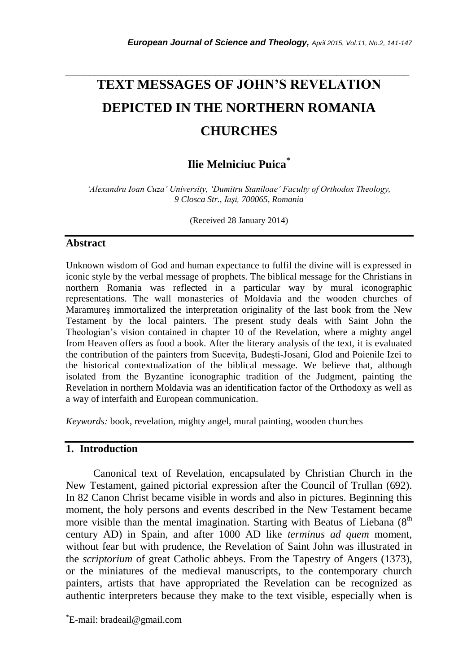# *\_\_\_\_\_\_\_\_\_\_\_\_\_\_\_\_\_\_\_\_\_\_\_\_\_\_\_\_\_\_\_\_\_\_\_\_\_\_\_\_\_\_\_\_\_\_\_\_\_\_\_\_\_\_\_\_\_\_\_\_\_\_\_\_\_\_\_\_\_\_\_* **TEXT MESSAGES OF JOHN'S REVELATION DEPICTED IN THE NORTHERN ROMANIA CHURCHES**

## **Ilie Melniciuc Puica\***

*'Alexandru Ioan Cuza' University, 'Dumitru Staniloae' Faculty of Orthodox Theology, 9 Closca Str., Iaşi, 700065, Romania*

(Received 28 January 2014)

### **Abstract**

Unknown wisdom of God and human expectance to fulfil the divine will is expressed in iconic style by the verbal message of prophets. The biblical message for the Christians in northern Romania was reflected in a particular way by mural iconographic representations. The wall monasteries of Moldavia and the wooden churches of Maramureş immortalized the interpretation originality of the last book from the New Testament by the local painters. The present study deals with Saint John the Theologian"s vision contained in chapter 10 of the Revelation, where a mighty angel from Heaven offers as food a book. After the literary analysis of the text, it is evaluated the contribution of the painters from Suceviţa, Budeşti-Josani, Glod and Poienile Izei to the historical contextualization of the biblical message. We believe that, although isolated from the Byzantine iconographic tradition of the Judgment, painting the Revelation in northern Moldavia was an identification factor of the Orthodoxy as well as a way of interfaith and European communication.

*Keywords:* book, revelation, mighty angel, mural painting, wooden churches

## **1. Introduction**

Canonical text of Revelation, encapsulated by Christian Church in the New Testament, gained pictorial expression after the Council of Trullan (692). In 82 Canon Christ became visible in words and also in pictures. Beginning this moment, the holy persons and events described in the New Testament became more visible than the mental imagination. Starting with Beatus of Liebana  $(8<sup>th</sup>$ century AD) in Spain, and after 1000 AD like *terminus ad quem* moment, without fear but with prudence, the Revelation of Saint John was illustrated in the *scriptorium* of great Catholic abbeys. From the Tapestry of Angers (1373), or the miniatures of the medieval manuscripts, to the contemporary church painters, artists that have appropriated the Revelation can be recognized as authentic interpreters because they make to the text visible, especially when is

l

<sup>\*</sup>E-mail: bradeail@gmail.com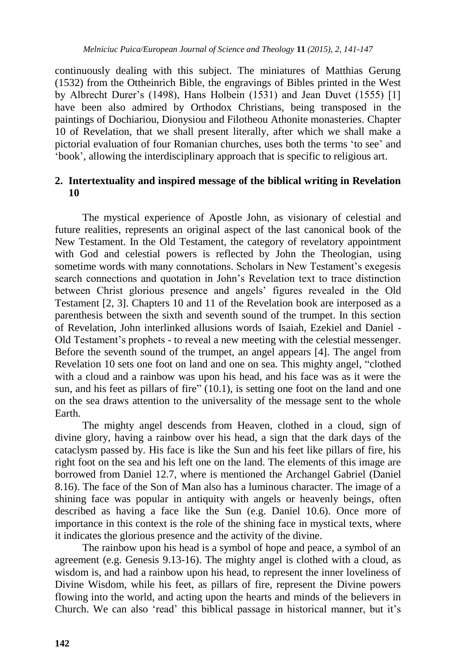continuously dealing with this subject. The miniatures of Matthias Gerung (1532) from the Ottheinrich Bible, the engravings of Bibles printed in the West by Albrecht Durer"s (1498), Hans Holbein (1531) and Jean Duvet (1555) [1] have been also admired by Orthodox Christians, being transposed in the paintings of Dochiariou, Dionysiou and Filotheou Athonite monasteries. Chapter 10 of Revelation, that we shall present literally, after which we shall make a pictorial evaluation of four Romanian churches, uses both the terms "to see" and "book", allowing the interdisciplinary approach that is specific to religious art.

## **2. Intertextuality and inspired message of the biblical writing in Revelation 10**

The mystical experience of Apostle John, as visionary of celestial and future realities, represents an original aspect of the last canonical book of the New Testament. In the Old Testament, the category of revelatory appointment with God and celestial powers is reflected by John the Theologian, using sometime words with many connotations. Scholars in New Testament's exegesis search connections and quotation in John"s Revelation text to trace distinction between Christ glorious presence and angels' figures revealed in the Old Testament [2, 3]. Chapters 10 and 11 of the Revelation book are interposed as a parenthesis between the sixth and seventh sound of the trumpet. In this section of Revelation, John interlinked allusions words of Isaiah, Ezekiel and Daniel - Old Testament's prophets - to reveal a new meeting with the celestial messenger. Before the seventh sound of the trumpet, an angel appears [4]. The angel from Revelation 10 sets one foot on land and one on sea. This mighty angel, "clothed with a cloud and a rainbow was upon his head, and his face was as it were the sun, and his feet as pillars of fire" (10.1), is setting one foot on the land and one on the sea draws attention to the universality of the message sent to the whole Earth.

The mighty angel descends from Heaven, clothed in a cloud, sign of divine glory, having a rainbow over his head, a sign that the dark days of the cataclysm passed by. His face is like the Sun and his feet like pillars of fire, his right foot on the sea and his left one on the land. The elements of this image are borrowed from Daniel 12.7, where is mentioned the Archangel Gabriel (Daniel 8.16). The face of the Son of Man also has a luminous character. The image of a shining face was popular in antiquity with angels or heavenly beings, often described as having a face like the Sun (e.g. Daniel 10.6). Once more of importance in this context is the role of the shining face in mystical texts, where it indicates the glorious presence and the activity of the divine.

The rainbow upon his head is a symbol of hope and peace, a symbol of an agreement (e.g. Genesis 9.13-16). The mighty angel is clothed with a cloud, as wisdom is, and had a rainbow upon his head, to represent the inner loveliness of Divine Wisdom, while his feet, as pillars of fire, represent the Divine powers flowing into the world, and acting upon the hearts and minds of the believers in Church. We can also "read" this biblical passage in historical manner, but it"s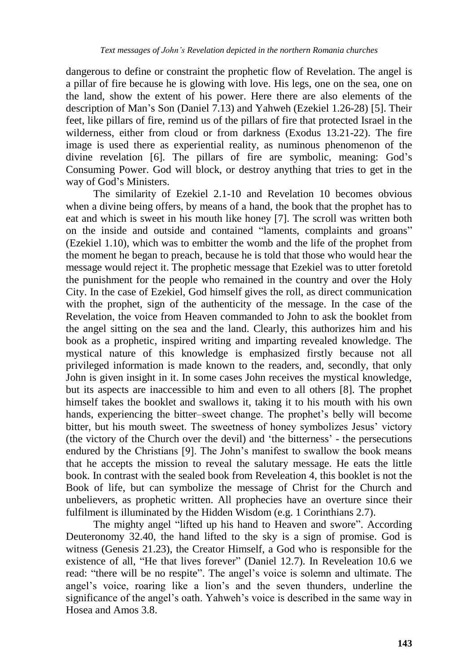dangerous to define or constraint the prophetic flow of Revelation. The angel is a pillar of fire because he is glowing with love. His legs, one on the sea, one on the land, show the extent of his power. Here there are also elements of the description of Man"s Son (Daniel 7.13) and Yahweh (Ezekiel 1.26-28) [5]. Their feet, like pillars of fire, remind us of the pillars of fire that protected Israel in the wilderness, either from cloud or from darkness (Exodus 13.21-22). The fire image is used there as experiential reality, as numinous phenomenon of the divine revelation [6]. The pillars of fire are symbolic, meaning: God"s Consuming Power. God will block, or destroy anything that tries to get in the way of God"s Ministers.

The similarity of Ezekiel 2.1-10 and Revelation 10 becomes obvious when a divine being offers, by means of a hand, the book that the prophet has to eat and which is sweet in his mouth like honey [7]. The scroll was written both on the inside and outside and contained "laments, complaints and groans" (Ezekiel 1.10), which was to embitter the womb and the life of the prophet from the moment he began to preach, because he is told that those who would hear the message would reject it. The prophetic message that Ezekiel was to utter foretold the punishment for the people who remained in the country and over the Holy City. In the case of Ezekiel, God himself gives the roll, as direct communication with the prophet, sign of the authenticity of the message. In the case of the Revelation, the voice from Heaven commanded to John to ask the booklet from the angel sitting on the sea and the land. Clearly, this authorizes him and his book as a prophetic, inspired writing and imparting revealed knowledge. The mystical nature of this knowledge is emphasized firstly because not all privileged information is made known to the readers, and, secondly, that only John is given insight in it. In some cases John receives the mystical knowledge, but its aspects are inaccessible to him and even to all others [8]. The prophet himself takes the booklet and swallows it, taking it to his mouth with his own hands, experiencing the bitter–sweet change. The prophet's belly will become bitter, but his mouth sweet. The sweetness of honey symbolizes Jesus" victory (the victory of the Church over the devil) and "the bitterness" - the persecutions endured by the Christians [9]. The John"s manifest to swallow the book means that he accepts the mission to reveal the salutary message. He eats the little book. In contrast with the sealed book from Reveleation 4, this booklet is not the Book of life, but can symbolize the message of Christ for the Church and unbelievers, as prophetic written. All prophecies have an overture since their fulfilment is illuminated by the Hidden Wisdom (e.g. 1 Corinthians 2.7).

The mighty angel "lifted up his hand to Heaven and swore". According Deuteronomy 32.40, the hand lifted to the sky is a sign of promise. God is witness (Genesis 21.23), the Creator Himself, a God who is responsible for the existence of all, "He that lives forever" (Daniel 12.7). In Reveleation 10.6 we read: "there will be no respite". The angel's voice is solemn and ultimate. The angel"s voice, roaring like a lion"s and the seven thunders, underline the significance of the angel's oath. Yahweh's voice is described in the same way in Hosea and Amos 3.8.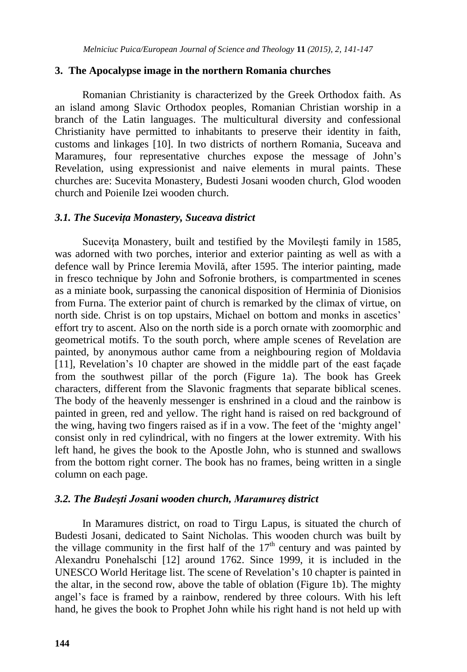#### **3. The Apocalypse image in the northern Romania churches**

Romanian Christianity is characterized by the Greek Orthodox faith. As an island among Slavic Orthodox peoples, Romanian Christian worship in a branch of the Latin languages. The multicultural diversity and confessional Christianity have permitted to inhabitants to preserve their identity in faith, customs and linkages [10]. In two districts of northern Romania, Suceava and Maramureş, four representative churches expose the message of John"s Revelation, using expressionist and naive elements in mural paints. These churches are: Sucevita Monastery, Budesti Josani wooden church, Glod wooden church and Poienile Izei wooden church.

#### *3.1. The Suceviţa Monastery, Suceava district*

Sucevita Monastery, built and testified by the Movilesti family in 1585, was adorned with two porches, interior and exterior painting as well as with a defence wall by Prince Ieremia Movilă, after 1595. The interior painting, made in fresco technique by John and Sofronie brothers, is compartmented in scenes as a miniate book, surpassing the canonical disposition of Herminia of Dionisios from Furna. The exterior paint of church is remarked by the climax of virtue, on north side. Christ is on top upstairs, Michael on bottom and monks in ascetics' effort try to ascent. Also on the north side is a porch ornate with zoomorphic and geometrical motifs. To the south porch, where ample scenes of Revelation are painted, by anonymous author came from a neighbouring region of Moldavia [11], Revelation's 10 chapter are showed in the middle part of the east façade from the southwest pillar of the porch (Figure 1a). The book has Greek characters, different from the Slavonic fragments that separate biblical scenes. The body of the heavenly messenger is enshrined in a cloud and the rainbow is painted in green, red and yellow. The right hand is raised on red background of the wing, having two fingers raised as if in a vow. The feet of the "mighty angel" consist only in red cylindrical, with no fingers at the lower extremity. With his left hand, he gives the book to the Apostle John, who is stunned and swallows from the bottom right corner. The book has no frames, being written in a single column on each page.

#### *3.2. The Budeşti Josani wooden church, Maramureş district*

In Maramures district, on road to Tirgu Lapus, is situated the church of Budesti Josani, dedicated to Saint Nicholas. This wooden church was built by the village community in the first half of the  $17<sup>th</sup>$  century and was painted by Alexandru Ponehalschi [12] around 1762. Since 1999, it is included in the UNESCO World Heritage list. The scene of Revelation"s 10 chapter is painted in the altar, in the second row, above the table of oblation (Figure 1b). The mighty angel"s face is framed by a rainbow, rendered by three colours. With his left hand, he gives the book to Prophet John while his right hand is not held up with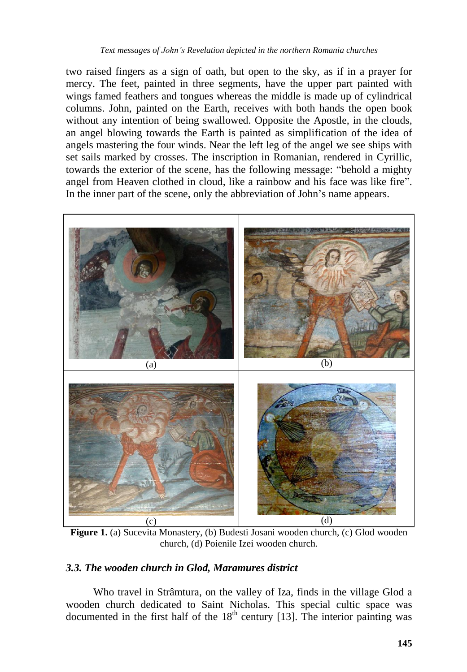two raised fingers as a sign of oath, but open to the sky, as if in a prayer for mercy. The feet, painted in three segments, have the upper part painted with wings famed feathers and tongues whereas the middle is made up of cylindrical columns. John, painted on the Earth, receives with both hands the open book without any intention of being swallowed. Opposite the Apostle, in the clouds, an angel blowing towards the Earth is painted as simplification of the idea of angels mastering the four winds. Near the left leg of the angel we see ships with set sails marked by crosses. The inscription in Romanian, rendered in Cyrillic, towards the exterior of the scene, has the following message: "behold a mighty angel from Heaven clothed in cloud, like a rainbow and his face was like fire". In the inner part of the scene, only the abbreviation of John"s name appears.



**Figure 1.** (a) Sucevita Monastery, (b) Budesti Josani wooden church, (c) Glod wooden church, (d) Poienile Izei wooden church.

## *3.3. The wooden church in Glod, Maramures district*

Who travel in Strâmtura, on the valley of Iza, finds in the village Glod a wooden church dedicated to Saint Nicholas. This special cultic space was documented in the first half of the  $18<sup>th</sup>$  century [13]. The interior painting was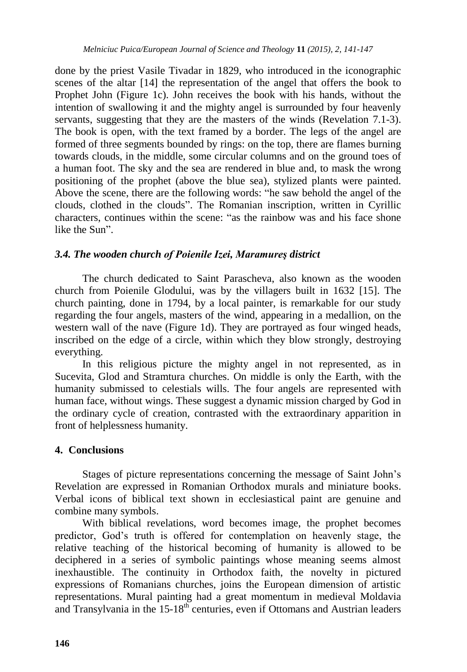done by the priest Vasile Tivadar in 1829, who introduced in the iconographic scenes of the altar [14] the representation of the angel that offers the book to Prophet John (Figure 1c). John receives the book with his hands, without the intention of swallowing it and the mighty angel is surrounded by four heavenly servants, suggesting that they are the masters of the winds (Revelation 7.1-3). The book is open, with the text framed by a border. The legs of the angel are formed of three segments bounded by rings: on the top, there are flames burning towards clouds, in the middle, some circular columns and on the ground toes of a human foot. The sky and the sea are rendered in blue and, to mask the wrong positioning of the prophet (above the blue sea), stylized plants were painted. Above the scene, there are the following words: "he saw behold the angel of the clouds, clothed in the clouds". The Romanian inscription, written in Cyrillic characters, continues within the scene: "as the rainbow was and his face shone like the Sun".

## *3.4. The wooden church of Poienile Izei, Maramureş district*

The church dedicated to Saint Parascheva, also known as the wooden church from Poienile Glodului, was by the villagers built in 1632 [15]. The church painting, done in 1794, by a local painter, is remarkable for our study regarding the four angels, masters of the wind, appearing in a medallion, on the western wall of the nave (Figure 1d). They are portrayed as four winged heads, inscribed on the edge of a circle, within which they blow strongly, destroying everything.

In this religious picture the mighty angel in not represented, as in Sucevita, Glod and Stramtura churches. On middle is only the Earth, with the humanity submissed to celestials wills. The four angels are represented with human face, without wings. These suggest a dynamic mission charged by God in the ordinary cycle of creation, contrasted with the extraordinary apparition in front of helplessness humanity.

## **4. Conclusions**

Stages of picture representations concerning the message of Saint John"s Revelation are expressed in Romanian Orthodox murals and miniature books. Verbal icons of biblical text shown in ecclesiastical paint are genuine and combine many symbols.

With biblical revelations, word becomes image, the prophet becomes predictor, God"s truth is offered for contemplation on heavenly stage, the relative teaching of the historical becoming of humanity is allowed to be deciphered in a series of symbolic paintings whose meaning seems almost inexhaustible. The continuity in Orthodox faith, the novelty in pictured expressions of Romanians churches, joins the European dimension of artistic representations. Mural painting had a great momentum in medieval Moldavia and Transylvania in the  $15{\text -}18^{\text{th}}$  centuries, even if Ottomans and Austrian leaders